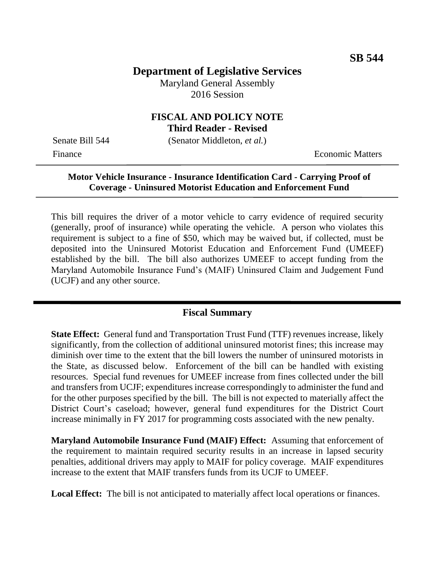# **Department of Legislative Services**

Maryland General Assembly 2016 Session

### **FISCAL AND POLICY NOTE Third Reader - Revised**

Senate Bill 544 (Senator Middleton, *et al.*)

Finance **Exercífical Economic Matters** 

## **Motor Vehicle Insurance - Insurance Identification Card - Carrying Proof of Coverage - Uninsured Motorist Education and Enforcement Fund**

This bill requires the driver of a motor vehicle to carry evidence of required security (generally, proof of insurance) while operating the vehicle. A person who violates this requirement is subject to a fine of \$50, which may be waived but, if collected, must be deposited into the Uninsured Motorist Education and Enforcement Fund (UMEEF) established by the bill. The bill also authorizes UMEEF to accept funding from the Maryland Automobile Insurance Fund's (MAIF) Uninsured Claim and Judgement Fund (UCJF) and any other source. Ĭ

## **Fiscal Summary**

**State Effect:** General fund and Transportation Trust Fund (TTF) revenues increase, likely significantly, from the collection of additional uninsured motorist fines; this increase may diminish over time to the extent that the bill lowers the number of uninsured motorists in the State, as discussed below. Enforcement of the bill can be handled with existing resources. Special fund revenues for UMEEF increase from fines collected under the bill and transfers from UCJF; expenditures increase correspondingly to administer the fund and for the other purposes specified by the bill. The bill is not expected to materially affect the District Court's caseload; however, general fund expenditures for the District Court increase minimally in FY 2017 for programming costs associated with the new penalty.

**Maryland Automobile Insurance Fund (MAIF) Effect:** Assuming that enforcement of the requirement to maintain required security results in an increase in lapsed security penalties, additional drivers may apply to MAIF for policy coverage. MAIF expenditures increase to the extent that MAIF transfers funds from its UCJF to UMEEF.

**Local Effect:** The bill is not anticipated to materially affect local operations or finances.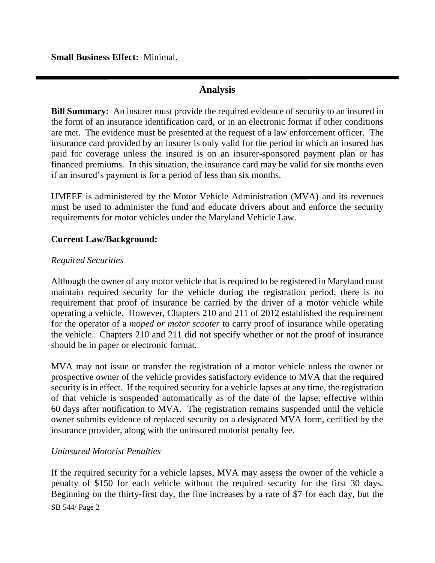**Small Business Effect:** Minimal.

## **Analysis**

**Bill Summary:** An insurer must provide the required evidence of security to an insured in the form of an insurance identification card, or in an electronic format if other conditions are met. The evidence must be presented at the request of a law enforcement officer.The insurance card provided by an insurer is only valid for the period in which an insured has paid for coverage unless the insured is on an insurer-sponsored payment plan or has financed premiums. In this situation, the insurance card may be valid for six months even if an insured's payment is for a period of less than six months.

UMEEF is administered by the Motor Vehicle Administration (MVA) and its revenues must be used to administer the fund and educate drivers about and enforce the security requirements for motor vehicles under the Maryland Vehicle Law.

### **Current Law/Background:**

### *Required Securities*

Although the owner of any motor vehicle that is required to be registered in Maryland must maintain required security for the vehicle during the registration period, there is no requirement that proof of insurance be carried by the driver of a motor vehicle while operating a vehicle. However, Chapters 210 and 211 of 2012 established the requirement for the operator of a *moped or motor scooter* to carry proof of insurance while operating the vehicle. Chapters 210 and 211 did not specify whether or not the proof of insurance should be in paper or electronic format.

MVA may not issue or transfer the registration of a motor vehicle unless the owner or prospective owner of the vehicle provides satisfactory evidence to MVA that the required security is in effect. If the required security for a vehicle lapses at any time, the registration of that vehicle is suspended automatically as of the date of the lapse, effective within 60 days after notification to MVA. The registration remains suspended until the vehicle owner submits evidence of replaced security on a designated MVA form, certified by the insurance provider, along with the uninsured motorist penalty fee.

#### *Uninsured Motorist Penalties*

SB 544/ Page 2 If the required security for a vehicle lapses, MVA may assess the owner of the vehicle a penalty of \$150 for each vehicle without the required security for the first 30 days. Beginning on the thirty-first day, the fine increases by a rate of \$7 for each day, but the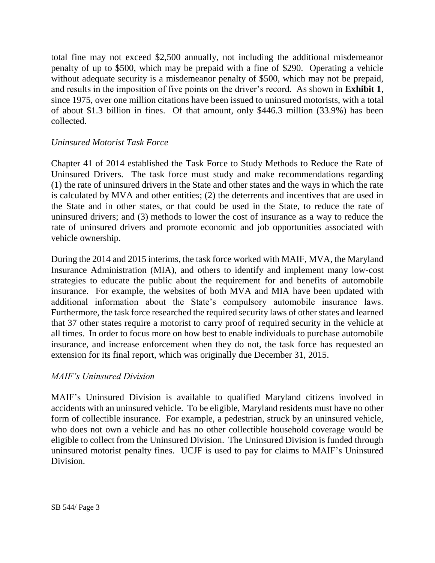total fine may not exceed \$2,500 annually, not including the additional misdemeanor penalty of up to \$500, which may be prepaid with a fine of \$290. Operating a vehicle without adequate security is a misdemeanor penalty of \$500, which may not be prepaid, and results in the imposition of five points on the driver's record. As shown in **Exhibit 1**, since 1975, over one million citations have been issued to uninsured motorists, with a total of about \$1.3 billion in fines. Of that amount, only \$446.3 million (33.9%) has been collected.

### *Uninsured Motorist Task Force*

Chapter 41 of 2014 established the Task Force to Study Methods to Reduce the Rate of Uninsured Drivers. The task force must study and make recommendations regarding (1) the rate of uninsured drivers in the State and other states and the ways in which the rate is calculated by MVA and other entities; (2) the deterrents and incentives that are used in the State and in other states, or that could be used in the State, to reduce the rate of uninsured drivers; and (3) methods to lower the cost of insurance as a way to reduce the rate of uninsured drivers and promote economic and job opportunities associated with vehicle ownership.

During the 2014 and 2015 interims, the task force worked with MAIF, MVA, the Maryland Insurance Administration (MIA), and others to identify and implement many low-cost strategies to educate the public about the requirement for and benefits of automobile insurance. For example, the websites of both MVA and MIA have been updated with additional information about the State's compulsory automobile insurance laws. Furthermore, the task force researched the required security laws of other states and learned that 37 other states require a motorist to carry proof of required security in the vehicle at all times. In order to focus more on how best to enable individuals to purchase automobile insurance, and increase enforcement when they do not, the task force has requested an extension for its final report, which was originally due December 31, 2015.

### *MAIF's Uninsured Division*

MAIF's Uninsured Division is available to qualified Maryland citizens involved in accidents with an uninsured vehicle. To be eligible, Maryland residents must have no other form of collectible insurance. For example, a pedestrian, struck by an uninsured vehicle, who does not own a vehicle and has no other collectible household coverage would be eligible to collect from the Uninsured Division. The Uninsured Division is funded through uninsured motorist penalty fines. UCJF is used to pay for claims to MAIF's Uninsured Division.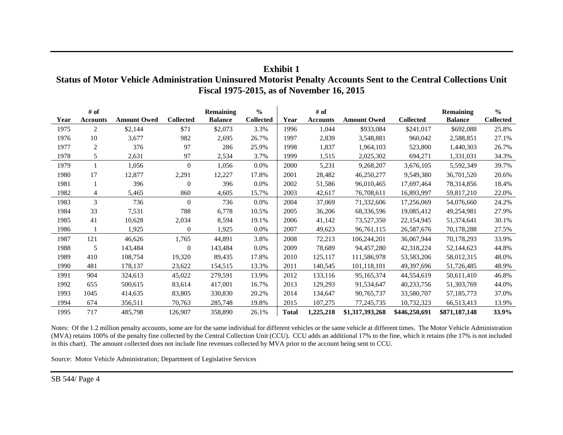| $0 - 10$ , $0 - 100$ |                         |                    |                  |                                    |                                   |              |                         |                    |                  |                                    |                                   |
|----------------------|-------------------------|--------------------|------------------|------------------------------------|-----------------------------------|--------------|-------------------------|--------------------|------------------|------------------------------------|-----------------------------------|
| Year                 | # of<br><b>Accounts</b> | <b>Amount Owed</b> | <b>Collected</b> | <b>Remaining</b><br><b>Balance</b> | $\frac{0}{0}$<br><b>Collected</b> | Year         | # of<br><b>Accounts</b> | <b>Amount Owed</b> | <b>Collected</b> | <b>Remaining</b><br><b>Balance</b> | $\frac{6}{6}$<br><b>Collected</b> |
| 1975                 | $\overline{c}$          | \$2,144            | \$71             | \$2,073                            | 3.3%                              | 1996         | 1,044                   | \$933,084          | \$241,017        | \$692,088                          | 25.8%                             |
| 1976                 | 10                      | 3,677              | 982              | 2,695                              | 26.7%                             | 1997         | 2,839                   | 3,548,881          | 960,042          | 2,588,851                          | 27.1%                             |
| 1977                 | $\overline{c}$          | 376                | 97               | 286                                | 25.9%                             | 1998         | 1,837                   | 1,964,103          | 523,800          | 1,440,303                          | 26.7%                             |
| 1978                 | 5                       | 2,631              | 97               | 2,534                              | 3.7%                              | 1999         | 1,515                   | 2,025,302          | 694,271          | 1,331,031                          | 34.3%                             |
| 1979                 |                         | 1,056              | $\mathbf{0}$     | 1,056                              | 0.0%                              | 2000         | 5,231                   | 9,268,207          | 3,676,105        | 5,592,349                          | 39.7%                             |
| 1980                 | 17                      | 12,877             | 2,291            | 12,227                             | 17.8%                             | 2001         | 28,482                  | 46,250,277         | 9,549,380        | 36,701,520                         | 20.6%                             |
| 1981                 |                         | 396                | $\boldsymbol{0}$ | 396                                | 0.0%                              | 2002         | 51,586                  | 96,010,465         | 17,697,464       | 78,314,856                         | 18.4%                             |
| 1982                 | 4                       | 5,465              | 860              | 4,605                              | 15.7%                             | 2003         | 42,617                  | 76,708,611         | 16,893,997       | 59,817,210                         | 22.0%                             |
| 1983                 | 3                       | 736                | $\boldsymbol{0}$ | 736                                | 0.0%                              | 2004         | 37,069                  | 71,332,606         | 17,256,069       | 54,076,660                         | 24.2%                             |
| 1984                 | 33                      | 7,531              | 788              | 6,778                              | 10.5%                             | 2005         | 36,206                  | 68,336,596         | 19,085,412       | 49,254,981                         | 27.9%                             |
| 1985                 | 41                      | 10,628             | 2,034            | 8,594                              | 19.1%                             | 2006         | 41,142                  | 73,527,350         | 22,154,945       | 51,374,641                         | 30.1%                             |
| 1986                 |                         | 1,925              | $\mathbf{0}$     | 1,925                              | 0.0%                              | 2007         | 49,623                  | 96,761,115         | 26,587,676       | 70,178,288                         | 27.5%                             |
| 1987                 | 121                     | 46,626             | 1,765            | 44,891                             | 3.8%                              | 2008         | 72,213                  | 106,244,201        | 36,067,944       | 70,178,293                         | 33.9%                             |
| 1988                 | 5                       | 143,484            | $\boldsymbol{0}$ | 143,484                            | 0.0%                              | 2009         | 78,689                  | 94,457,280         | 42,318,224       | 52,144,623                         | 44.8%                             |
| 1989                 | 410                     | 108,754            | 19,320           | 89,435                             | 17.8%                             | 2010         | 125,117                 | 111,586,978        | 53,583,206       | 58,012,315                         | 48.0%                             |
| 1990                 | 481                     | 178,137            | 23,622           | 154,515                            | 13.3%                             | 2011         | 140,545                 | 101,118,101        | 49,397,696       | 51,726,485                         | 48.9%                             |
| 1991                 | 904                     | 324,613            | 45,022           | 279,591                            | 13.9%                             | 2012         | 133,116                 | 95,165,374         | 44,554,619       | 50,611,410                         | 46.8%                             |
| 1992                 | 655                     | 500,615            | 83,614           | 417,001                            | 16.7%                             | 2013         | 129,293                 | 91,534,647         | 40,233,756       | 51,303,769                         | 44.0%                             |
| 1993                 | 1045                    | 414,635            | 83,805           | 330,830                            | 20.2%                             | 2014         | 134,647                 | 90,765,737         | 33,580,707       | 57, 185, 773                       | 37.0%                             |
| 1994                 | 674                     | 356,511            | 70,763           | 285,748                            | 19.8%                             | 2015         | 107,275                 | 77, 245, 735       | 10,732,323       | 66,513,413                         | 13.9%                             |
| 1995                 | 717                     | 485,798            | 126,907          | 358,890                            | 26.1%                             | <b>Total</b> | 1,225,218               | \$1,317,393,268    | \$446,250,691    | \$871,187,148                      | 33.9%                             |

**Exhibit 1 Status of Motor Vehicle Administration Uninsured Motorist Penalty Accounts Sent to the Central Collections Unit Fiscal 1975-2015, as of November 16, 2015**

Notes: Of the 1.2 million penalty accounts, some are for the same individual for different vehicles or the same vehicle at different times. The Motor Vehicle Administration (MVA) retains 100% of the penalty fine collected by the Central Collection Unit (CCU). CCU adds an additional 17% to the fine, which it retains (the 17% is not included in this chart). The amount collected does not include fine revenues collected by MVA prior to the account being sent to CCU.

Source: Motor Vehicle Administration; Department of Legislative Services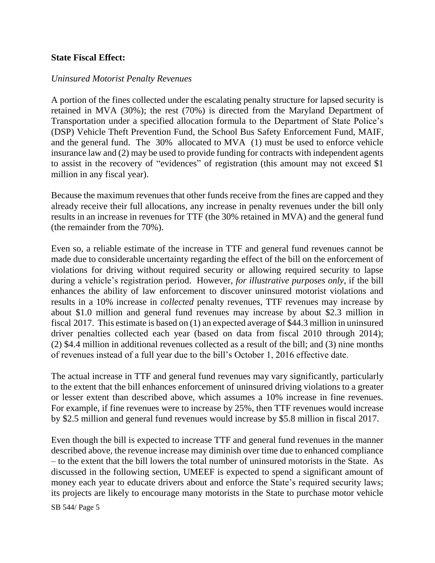### **State Fiscal Effect:**

#### *Uninsured Motorist Penalty Revenues*

A portion of the fines collected under the escalating penalty structure for lapsed security is retained in MVA (30%); the rest (70%) is directed from the Maryland Department of Transportation under a specified allocation formula to the Department of State Police's (DSP) Vehicle Theft Prevention Fund, the School Bus Safety Enforcement Fund, MAIF, and the general fund. The 30% allocated to MVA (1) must be used to enforce vehicle insurance law and (2) may be used to provide funding for contracts with independent agents to assist in the recovery of "evidences" of registration (this amount may not exceed \$1 million in any fiscal year).

Because the maximum revenues that other funds receive from the fines are capped and they already receive their full allocations, any increase in penalty revenues under the bill only results in an increase in revenues for TTF (the 30% retained in MVA) and the general fund (the remainder from the 70%).

Even so, a reliable estimate of the increase in TTF and general fund revenues cannot be made due to considerable uncertainty regarding the effect of the bill on the enforcement of violations for driving without required security or allowing required security to lapse during a vehicle's registration period. However, *for illustrative purposes only*, if the bill enhances the ability of law enforcement to discover uninsured motorist violations and results in a 10% increase in *collected* penalty revenues, TTF revenues may increase by about \$1.0 million and general fund revenues may increase by about \$2.3 million in fiscal 2017. This estimate is based on (1) an expected average of \$44.3 million in uninsured driver penalties collected each year (based on data from fiscal 2010 through 2014); (2) \$4.4 million in additional revenues collected as a result of the bill; and (3) nine months of revenues instead of a full year due to the bill's October 1, 2016 effective date.

The actual increase in TTF and general fund revenues may vary significantly, particularly to the extent that the bill enhances enforcement of uninsured driving violations to a greater or lesser extent than described above, which assumes a 10% increase in fine revenues. For example, if fine revenues were to increase by 25%, then TTF revenues would increase by \$2.5 million and general fund revenues would increase by \$5.8 million in fiscal 2017.

Even though the bill is expected to increase TTF and general fund revenues in the manner described above, the revenue increase may diminish over time due to enhanced compliance – to the extent that the bill lowers the total number of uninsured motorists in the State. As discussed in the following section, UMEEF is expected to spend a significant amount of money each year to educate drivers about and enforce the State's required security laws; its projects are likely to encourage many motorists in the State to purchase motor vehicle

SB 544/ Page 5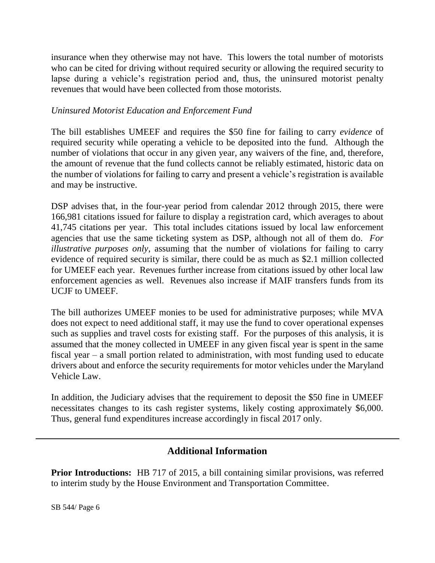insurance when they otherwise may not have. This lowers the total number of motorists who can be cited for driving without required security or allowing the required security to lapse during a vehicle's registration period and, thus, the uninsured motorist penalty revenues that would have been collected from those motorists.

## *Uninsured Motorist Education and Enforcement Fund*

The bill establishes UMEEF and requires the \$50 fine for failing to carry *evidence* of required security while operating a vehicle to be deposited into the fund. Although the number of violations that occur in any given year, any waivers of the fine, and, therefore, the amount of revenue that the fund collects cannot be reliably estimated, historic data on the number of violations for failing to carry and present a vehicle's registration is available and may be instructive.

DSP advises that, in the four-year period from calendar 2012 through 2015, there were 166,981 citations issued for failure to display a registration card, which averages to about 41,745 citations per year. This total includes citations issued by local law enforcement agencies that use the same ticketing system as DSP, although not all of them do. *For illustrative purposes only*, assuming that the number of violations for failing to carry evidence of required security is similar, there could be as much as \$2.1 million collected for UMEEF each year. Revenues further increase from citations issued by other local law enforcement agencies as well. Revenues also increase if MAIF transfers funds from its UCJF to UMEEF.

The bill authorizes UMEEF monies to be used for administrative purposes; while MVA does not expect to need additional staff, it may use the fund to cover operational expenses such as supplies and travel costs for existing staff. For the purposes of this analysis, it is assumed that the money collected in UMEEF in any given fiscal year is spent in the same fiscal year – a small portion related to administration, with most funding used to educate drivers about and enforce the security requirements for motor vehicles under the Maryland Vehicle Law.

In addition, the Judiciary advises that the requirement to deposit the \$50 fine in UMEEF necessitates changes to its cash register systems, likely costing approximately \$6,000. Thus, general fund expenditures increase accordingly in fiscal 2017 only.

# **Additional Information**

**Prior Introductions:** HB 717 of 2015, a bill containing similar provisions, was referred to interim study by the House Environment and Transportation Committee.